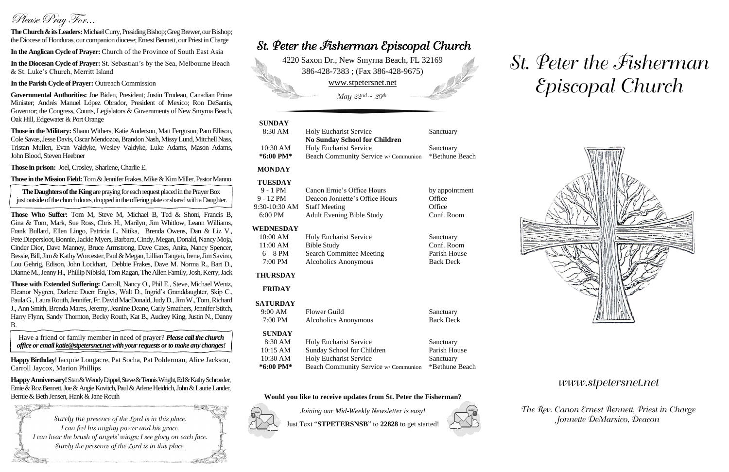# Please Pray For...

**The Church & its Leaders:** Michael Curry, Presiding Bishop; Greg Brewer, our Bishop; the Diocese of Honduras, our companion diocese; Ernest Bennett, our Priest in Charge

**In the Anglican Cycle of Prayer:** Church of the Province of South East Asia

**In the Diocesan Cycle of Prayer:** St. Sebastian's by the Sea, Melbourne Beach & St. Luke's Church, Merritt Island

**In the Parish Cycle of Prayer:** Outreach Commission

**Governmental Authorities:** Joe Biden, President; Justin Trudeau, Canadian Prime Minister; Andrés Manuel López Obrador, President of Mexico; Ron DeSantis, Governor; the Congress, Courts, Legislators & Governments of New Smyrna Beach, Oak Hill, Edgewater & Port Orange

**Those in the Military:** Shaun Withers, Katie Anderson, Matt Ferguson, Pam Ellison, Cole Savas, Jesse Davis, Oscar Mendozoa, Brandon Nash, MissyLund, Mitchell Nass, Tristan Mullen, Evan Valdyke, Wesley Valdyke, Luke Adams, Mason Adams, John Blood, Steven Heebner

**Those in prison:** Joel, Crosley, Sharlene, Charlie E.

**Those in the Mission Field:**Tom & Jennifer Frakes, Mike & Kim Miller, Pastor Manno

**Those Who Suffer:** Tom M, Steve M, Michael B, Ted & Shoni, Francis B, Gina & Tom, Mark, Sue Ross, Chris H., Marilyn, Jim Whitlow, Leann Williams, Frank Bullard, Ellen Lingo, Patricia L. Nitika, Brenda Owens, Dan & Liz V., Pete Diepersloot, Bonnie, Jackie Myers, Barbara, Cindy, Megan, Donald, Nancy Moja, Cinder Dior, Dave Manney, Bruce Armstrong, Dave Cates, Anita, Nancy Spencer, Bessie, Bill, Jim & Kathy Worcester, Paul & Megan, Lillian Tangen, Irene, Jim Savino, Lou Gehrig, Edison, John Lockhart, Debbie Frakes, Dave M. Norma R., Bart D., Dianne M., Jenny H., Phillip Nibiski, Tom Ragan, The Allen Family, Josh, Kerry, Jack

**Those with Extended Suffering:** Carroll, Nancy O., Phil E., Steve, Michael Wentz, Eleanor Nygren, Darlene Duerr Engles, Walt D., Ingrid's Granddaughter, Skip C., Paula G., Laura Routh, Jennifer, Fr. David MacDonald, Judy D., Jim W., Tom, Richard J., Ann Smith, Brenda Mares, Jeremy, Jeanine Deane, Carly Smathers, Jennifer Stitch, Harry Flynn, Sandy Thornton, Becky Routh, Kat B., Audrey King, Justin N., Danny B.

**Happy Birthday**!Jacquie Longacre, Pat Socha, Pat Polderman, Alice Jackson, Carroll Jaycox, Marion Phillips

**Happy Anniversary!**Stan & Wendy Dippel, Steve & Tennis Wright, Ed & Kathy Schroeder, Ernie & Roz Bennett, Joe & Angie Kovitch, Paul & Arlene Heidrich, John & Laurie Lander, Bernie & Beth Jensen, Hank & Jane Routh

# St. Peter the Fisherman Episcopal Church



## www.stpetersnet.net

The Rev. Canon Ernest Bennett, Priest in Charge Jonnette DeMarsico, Deacon

## **SUNDAY**

| 8:30 AM                                                                 | <b>Holy Eucharist Service</b>                                                                                            | Sanctuary                                        |
|-------------------------------------------------------------------------|--------------------------------------------------------------------------------------------------------------------------|--------------------------------------------------|
| 10:30 AM<br>*6:00 PM*                                                   | <b>No Sunday School for Children</b><br>Holy Eucharist Service<br>Beach Community Service w/ Communion                   | Sanctuary<br>*Bethune Beach                      |
| <b>MONDAY</b>                                                           |                                                                                                                          |                                                  |
| <b>TUESDAY</b><br>$9 - 1$ PM<br>$9 - 12$ PM<br>9:30-10:30 AM<br>6:00 PM | Canon Ernie's Office Hours<br>Deacon Jonnette's Office Hours<br><b>Staff Meeting</b><br><b>Adult Evening Bible Study</b> | by appointment<br>Office<br>Office<br>Conf. Room |
| WEDNESDAY                                                               |                                                                                                                          |                                                  |
| 10:00 AM                                                                | <b>Holy Eucharist Service</b>                                                                                            | Sanctuary                                        |
| 11:00 AM                                                                | <b>Bible Study</b>                                                                                                       | Conf. Room                                       |
| $6 - 8$ PM                                                              | <b>Search Committee Meeting</b>                                                                                          | Parish House                                     |
| 7:00 PM                                                                 | <b>Alcoholics Anonymous</b>                                                                                              | <b>Back Deck</b>                                 |
| <b>THURSDAY</b>                                                         |                                                                                                                          |                                                  |
| <b>FRIDAY</b>                                                           |                                                                                                                          |                                                  |
| <b>SATURDAY</b>                                                         |                                                                                                                          |                                                  |
| 9:00 AM                                                                 | <b>Flower Guild</b>                                                                                                      | Sanctuary                                        |
| 7:00 PM                                                                 | <b>Alcoholics Anonymous</b>                                                                                              | <b>Back Deck</b>                                 |
| <b>SUNDAY</b>                                                           |                                                                                                                          |                                                  |
| 8:30 AM                                                                 | <b>Holy Eucharist Service</b>                                                                                            | Sanctuary                                        |
| 10:15 AM                                                                | Sunday School for Children                                                                                               | Parish House                                     |
| 10:30 AM                                                                | <b>Holy Eucharist Service</b>                                                                                            | Sanctuary                                        |
| *6:00 PM*                                                               | Beach Community Service w/ Communion                                                                                     | *Bethune Beach                                   |
|                                                                         |                                                                                                                          |                                                  |

# St. Peter the Fisherman Episcopal Church

4220 Saxon Dr., New Smyrna Beach, FL 32169 386-428-7383 ; (Fax 386-428-9675)

www.stpetersnet.net

May  $22^{nd} \sim 29^{th}$ 

#### **Would you like to receive updates from St. Peter the Fisherman?**



*Joining our Mid-Weekly Newsletter is easy!* Just Text "**STPETERSNSB**" to **22828** to get started!





| The Daughters of the King are praying for each request placed in the Prayer Box            |  |
|--------------------------------------------------------------------------------------------|--|
| just outside of the church doors, dropped in the offering plate or shared with a Daughter. |  |

Have a friend or family member in need of prayer? *Please call the church office or email katie@stpetersnet.netwith your requests or to make any changes!*